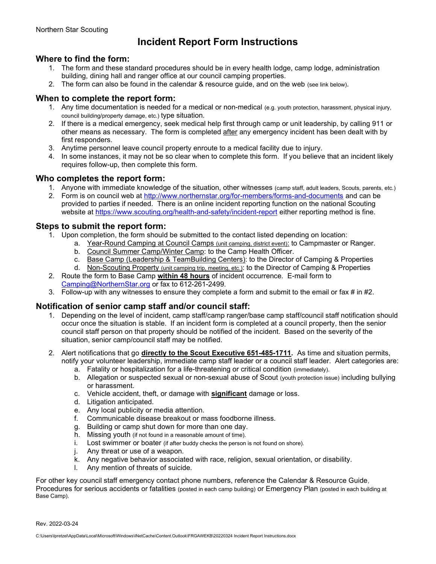# Incident Report Form Instructions

## Where to find the form:

- 1. The form and these standard procedures should be in every health lodge, camp lodge, administration building, dining hall and ranger office at our council camping properties.
- 2. The form can also be found in the calendar & resource guide, and on the web (see link below).

# When to complete the report form:

- 1. Any time documentation is needed for a medical or non-medical (e.g. youth protection, harassment, physical injury, council building/property damage, etc.) type situation.
- 2. If there is a medical emergency, seek medical help first through camp or unit leadership, by calling 911 or other means as necessary. The form is completed after any emergency incident has been dealt with by first responders.
- 3. Anytime personnel leave council property enroute to a medical facility due to injury.
- 4. In some instances, it may not be so clear when to complete this form. If you believe that an incident likely requires follow-up, then complete this form.

### Who completes the report form:

- 1. Anyone with immediate knowledge of the situation, other witnesses (camp staff, adult leaders, Scouts, parents, etc.)
- 2. Form is on council web at http://www.northernstar.org/for-members/forms-and-documents and can be provided to parties if needed. There is an online incident reporting function on the national Scouting website at https://www.scouting.org/health-and-safety/incident-report either reporting method is fine.

### Steps to submit the report form:

- 1. Upon completion, the form should be submitted to the contact listed depending on location:
	- a. Year-Round Camping at Council Camps (unit camping, district event): to Campmaster or Ranger.
		- b. Council Summer Camp/Winter Camp: to the Camp Health Officer.
		- c. Base Camp (Leadership & TeamBuilding Centers): to the Director of Camping & Properties
		- d. Non-Scouting Property (unit camping trip, meeting, etc.): to the Director of Camping & Properties
- 2. Route the form to Base Camp within 48 hours of incident occurrence. E-mail form to Camping@NorthernStar.org or fax to 612-261-2499.
- 3. Follow-up with any witnesses to ensure they complete a form and submit to the email or fax  $\#$  in  $\#2$ .

### Notification of senior camp staff and/or council staff:

- 1. Depending on the level of incident, camp staff/camp ranger/base camp staff/council staff notification should occur once the situation is stable. If an incident form is completed at a council property, then the senior council staff person on that property should be notified of the incident. Based on the severity of the situation, senior camp/council staff may be notified.
- 2. Alert notifications that go directly to the Scout Executive 651-485-1711. As time and situation permits, notify your volunteer leadership, immediate camp staff leader or a council staff leader. Alert categories are:
	- a. Fatality or hospitalization for a life-threatening or critical condition (immediately).
	- b. Allegation or suspected sexual or non-sexual abuse of Scout (youth protection issue) including bullying or harassment.
	- c. Vehicle accident, theft, or damage with significant damage or loss.
	- d. Litigation anticipated.
	- e. Any local publicity or media attention.
	- f. Communicable disease breakout or mass foodborne illness.
	- g. Building or camp shut down for more than one day.
	- h. Missing youth (if not found in a reasonable amount of time).
	- i. Lost swimmer or boater (if after buddy checks the person is not found on shore).
	- j. Any threat or use of a weapon.
	- k. Any negative behavior associated with race, religion, sexual orientation, or disability.
	- l. Any mention of threats of suicide.

For other key council staff emergency contact phone numbers, reference the Calendar & Resource Guide, Procedures for serious accidents or fatalities (posted in each camp building) or Emergency Plan (posted in each building at Base Camp).

Rev. 2022-03-24